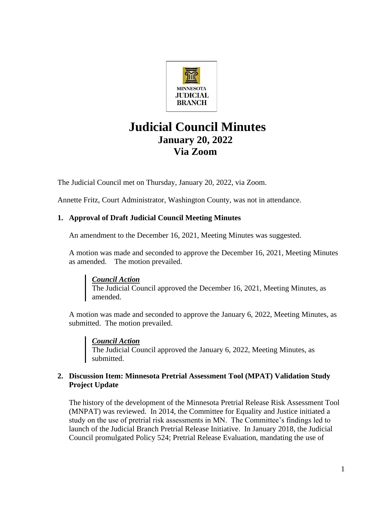

# **Judicial Council Minutes January 20, 2022 Via Zoom**

The Judicial Council met on Thursday, January 20, 2022, via Zoom.

Annette Fritz, Court Administrator, Washington County, was not in attendance.

# **1. Approval of Draft Judicial Council Meeting Minutes**

An amendment to the December 16, 2021, Meeting Minutes was suggested.

A motion was made and seconded to approve the December 16, 2021, Meeting Minutes as amended. The motion prevailed.

*Council Action* The Judicial Council approved the December 16, 2021, Meeting Minutes, as amended.

A motion was made and seconded to approve the January 6, 2022, Meeting Minutes, as submitted. The motion prevailed.

*Council Action* The Judicial Council approved the January 6, 2022, Meeting Minutes, as submitted.

# **2. Discussion Item: Minnesota Pretrial Assessment Tool (MPAT) Validation Study Project Update**

The history of the development of the Minnesota Pretrial Release Risk Assessment Tool (MNPAT) was reviewed. In 2014, the Committee for Equality and Justice initiated a study on the use of pretrial risk assessments in MN. The Committee's findings led to launch of the Judicial Branch Pretrial Release Initiative. In January 2018, the Judicial Council promulgated Policy 524; Pretrial Release Evaluation, mandating the use of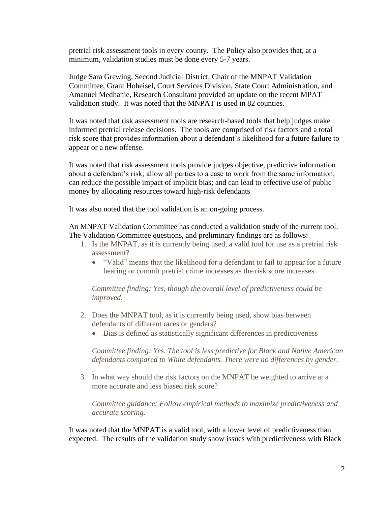pretrial risk assessment tools in every county. The Policy also provides that, at a minimum, validation studies must be done every 5-7 years.

Judge Sara Grewing, Second Judicial District, Chair of the MNPAT Validation Committee, Grant Hoheisel, Court Services Division, State Court Administration, and Amanuel Medhanie, Research Consultant provided an update on the recent MPAT validation study. It was noted that the MNPAT is used in 82 counties.

It was noted that risk assessment tools are research-based tools that help judges make informed pretrial release decisions. The tools are comprised of risk factors and a total risk score that provides information about a defendant's likelihood for a future failure to appear or a new offense.

It was noted that risk assessment tools provide judges objective, predictive information about a defendant's risk; allow all parties to a case to work from the same information; can reduce the possible impact of implicit bias; and can lead to effective use of public money by allocating resources toward high-risk defendants

It was also noted that the tool validation is an on-going process.

An MNPAT Validation Committee has conducted a validation study of the current tool. The Validation Committee questions, and preliminary findings are as follows:

- 1. Is the MNPAT, as it is currently being used, a valid tool for use as a pretrial risk assessment?
	- "Valid" means that the likelihood for a defendant to fail to appear for a future hearing or commit pretrial crime increases as the risk score increases

*Committee finding: Yes, though the overall level of predictiveness could be improved.*

- 2. Does the MNPAT tool, as it is currently being used, show bias between defendants of different races or genders?
	- Bias is defined as statistically significant differences in predictiveness

*Committee finding: Yes. The tool is less predictive for Black and Native American defendants compared to White defendants. There were no differences by gender.*

3. In what way should the risk factors on the MNPAT be weighted to arrive at a more accurate and less biased risk score?

*Committee guidance: Follow empirical methods to maximize predictiveness and accurate scoring.*

It was noted that the MNPAT is a valid tool, with a lower level of predictiveness than expected. The results of the validation study show issues with predictiveness with Black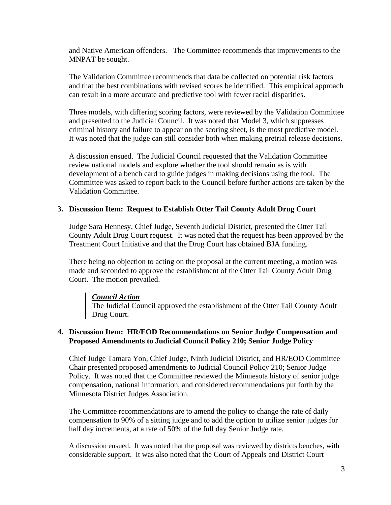and Native American offenders. The Committee recommends that improvements to the MNPAT be sought.

The Validation Committee recommends that data be collected on potential risk factors and that the best combinations with revised scores be identified. This empirical approach can result in a more accurate and predictive tool with fewer racial disparities.

Three models, with differing scoring factors, were reviewed by the Validation Committee and presented to the Judicial Council. It was noted that Model 3, which suppresses criminal history and failure to appear on the scoring sheet, is the most predictive model. It was noted that the judge can still consider both when making pretrial release decisions.

A discussion ensued. The Judicial Council requested that the Validation Committee review national models and explore whether the tool should remain as is with development of a bench card to guide judges in making decisions using the tool. The Committee was asked to report back to the Council before further actions are taken by the Validation Committee.

#### **3. Discussion Item: Request to Establish Otter Tail County Adult Drug Court**

Judge Sara Hennesy, Chief Judge, Seventh Judicial District, presented the Otter Tail County Adult Drug Court request. It was noted that the request has been approved by the Treatment Court Initiative and that the Drug Court has obtained BJA funding.

There being no objection to acting on the proposal at the current meeting, a motion was made and seconded to approve the establishment of the Otter Tail County Adult Drug Court. The motion prevailed.

#### *Council Action*

The Judicial Council approved the establishment of the Otter Tail County Adult Drug Court.

#### **4. Discussion Item: HR/EOD Recommendations on Senior Judge Compensation and Proposed Amendments to Judicial Council Policy 210; Senior Judge Policy**

Chief Judge Tamara Yon, Chief Judge, Ninth Judicial District, and HR/EOD Committee Chair presented proposed amendments to Judicial Council Policy 210; Senior Judge Policy. It was noted that the Committee reviewed the Minnesota history of senior judge compensation, national information, and considered recommendations put forth by the Minnesota District Judges Association.

The Committee recommendations are to amend the policy to change the rate of daily compensation to 90% of a sitting judge and to add the option to utilize senior judges for half day increments, at a rate of 50% of the full day Senior Judge rate.

A discussion ensued. It was noted that the proposal was reviewed by districts benches, with considerable support. It was also noted that the Court of Appeals and District Court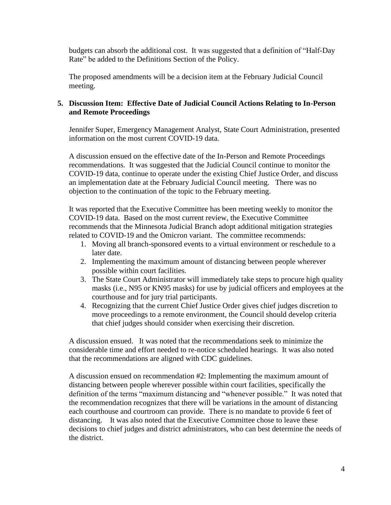budgets can absorb the additional cost. It was suggested that a definition of "Half-Day Rate" be added to the Definitions Section of the Policy.

The proposed amendments will be a decision item at the February Judicial Council meeting.

## **5. Discussion Item: Effective Date of Judicial Council Actions Relating to In-Person and Remote Proceedings**

Jennifer Super, Emergency Management Analyst, State Court Administration, presented information on the most current COVID-19 data.

A discussion ensued on the effective date of the In-Person and Remote Proceedings recommendations. It was suggested that the Judicial Council continue to monitor the COVID-19 data, continue to operate under the existing Chief Justice Order, and discuss an implementation date at the February Judicial Council meeting. There was no objection to the continuation of the topic to the February meeting.

It was reported that the Executive Committee has been meeting weekly to monitor the COVID-19 data. Based on the most current review, the Executive Committee recommends that the Minnesota Judicial Branch adopt additional mitigation strategies related to COVID-19 and the Omicron variant. The committee recommends:

- 1. Moving all branch-sponsored events to a virtual environment or reschedule to a later date.
- 2. Implementing the maximum amount of distancing between people wherever possible within court facilities.
- 3. The State Court Administrator will immediately take steps to procure high quality masks (i.e., N95 or KN95 masks) for use by judicial officers and employees at the courthouse and for jury trial participants.
- 4. Recognizing that the current Chief Justice Order gives chief judges discretion to move proceedings to a remote environment, the Council should develop criteria that chief judges should consider when exercising their discretion.

A discussion ensued. It was noted that the recommendations seek to minimize the considerable time and effort needed to re-notice scheduled hearings. It was also noted that the recommendations are aligned with CDC guidelines.

A discussion ensued on recommendation #2: Implementing the maximum amount of distancing between people wherever possible within court facilities, specifically the definition of the terms "maximum distancing and "whenever possible." It was noted that the recommendation recognizes that there will be variations in the amount of distancing each courthouse and courtroom can provide. There is no mandate to provide 6 feet of distancing. It was also noted that the Executive Committee chose to leave these decisions to chief judges and district administrators, who can best determine the needs of the district.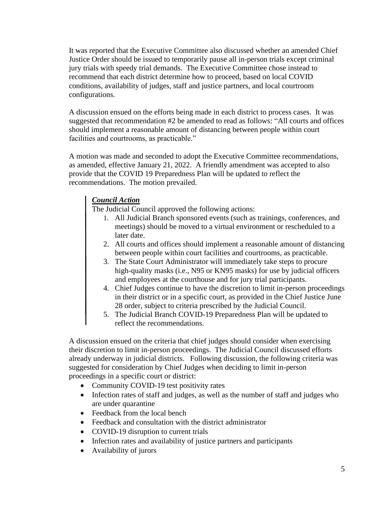It was reported that the Executive Committee also discussed whether an amended Chief Justice Order should be issued to temporarily pause all in-person trials except criminal jury trials with speedy trial demands. The Executive Committee chose instead to recommend that each district determine how to proceed, based on local COVID conditions, availability of judges, staff and justice partners, and local courtroom configurations.

A discussion ensued on the efforts being made in each district to process cases. It was suggested that recommendation #2 be amended to read as follows: "All courts and offices should implement a reasonable amount of distancing between people within court facilities and courtrooms, as practicable."

A motion was made and seconded to adopt the Executive Committee recommendations, as amended, effective January 21, 2022. A friendly amendment was accepted to also provide that the COVID 19 Preparedness Plan will be updated to reflect the recommendations. The motion prevailed.

# *Council Action*

The Judicial Council approved the following actions:

- 1. All Judicial Branch sponsored events (such as trainings, conferences, and meetings) should be moved to a virtual environment or rescheduled to a later date.
- 2. All courts and offices should implement a reasonable amount of distancing between people within court facilities and courtrooms, as practicable.
- 3. The State Court Administrator will immediately take steps to procure high-quality masks (i.e., N95 or KN95 masks) for use by judicial officers and employees at the courthouse and for jury trial participants.
- 4. Chief Judges continue to have the discretion to limit in-person proceedings in their district or in a specific court, as provided in the Chief Justice June 28 order, subject to criteria prescribed by the Judicial Council.
- 5. The Judicial Branch COVID-19 Preparedness Plan will be updated to reflect the recommendations.

A discussion ensued on the criteria that chief judges should consider when exercising their discretion to limit in-person proceedings. The Judicial Council discussed efforts already underway in judicial districts. Following discussion, the following criteria was suggested for consideration by Chief Judges when deciding to limit in-person proceedings in a specific court or district:

- Community COVID-19 test positivity rates
- Infection rates of staff and judges, as well as the number of staff and judges who are under quarantine
- Feedback from the local bench
- Feedback and consultation with the district administrator
- COVID-19 disruption to current trials
- Infection rates and availability of justice partners and participants
- Availability of jurors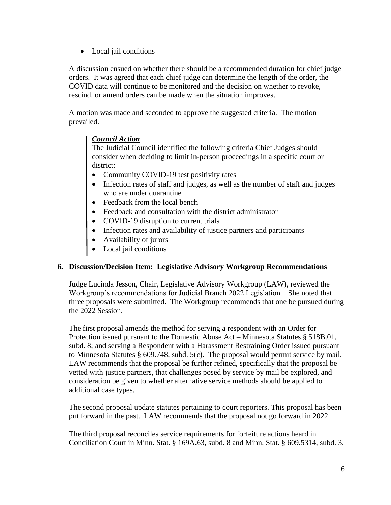• Local jail conditions

A discussion ensued on whether there should be a recommended duration for chief judge orders. It was agreed that each chief judge can determine the length of the order, the COVID data will continue to be monitored and the decision on whether to revoke, rescind. or amend orders can be made when the situation improves.

A motion was made and seconded to approve the suggested criteria. The motion prevailed.

# *Council Action*

The Judicial Council identified the following criteria Chief Judges should consider when deciding to limit in-person proceedings in a specific court or district:

- Community COVID-19 test positivity rates
- Infection rates of staff and judges, as well as the number of staff and judges who are under quarantine
- Feedback from the local bench
- Feedback and consultation with the district administrator
- COVID-19 disruption to current trials
- Infection rates and availability of justice partners and participants
- Availability of jurors
- Local jail conditions

## **6. Discussion/Decision Item: Legislative Advisory Workgroup Recommendations**

Judge Lucinda Jesson, Chair, Legislative Advisory Workgroup (LAW), reviewed the Workgroup's recommendations for Judicial Branch 2022 Legislation. She noted that three proposals were submitted. The Workgroup recommends that one be pursued during the 2022 Session.

The first proposal amends the method for serving a respondent with an Order for Protection issued pursuant to the Domestic Abuse Act – Minnesota Statutes § 518B.01, subd. 8; and serving a Respondent with a Harassment Restraining Order issued pursuant to Minnesota Statutes § 609.748, subd. 5(c). The proposal would permit service by mail. LAW recommends that the proposal be further refined, specifically that the proposal be vetted with justice partners, that challenges posed by service by mail be explored, and consideration be given to whether alternative service methods should be applied to additional case types.

The second proposal update statutes pertaining to court reporters. This proposal has been put forward in the past. LAW recommends that the proposal not go forward in 2022.

The third proposal reconciles service requirements for forfeiture actions heard in Conciliation Court in Minn. Stat. § 169A.63, subd. 8 and Minn. Stat. § 609.5314, subd. 3.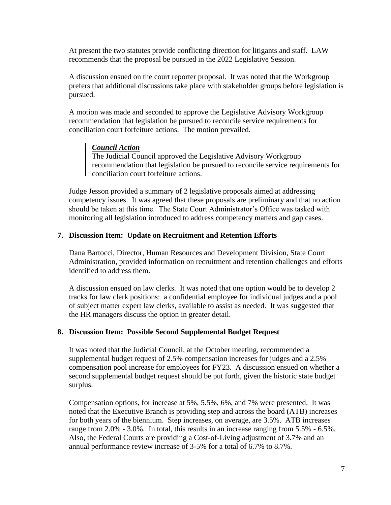At present the two statutes provide conflicting direction for litigants and staff. LAW recommends that the proposal be pursued in the 2022 Legislative Session.

A discussion ensued on the court reporter proposal. It was noted that the Workgroup prefers that additional discussions take place with stakeholder groups before legislation is pursued.

A motion was made and seconded to approve the Legislative Advisory Workgroup recommendation that legislation be pursued to reconcile service requirements for conciliation court forfeiture actions. The motion prevailed.

## *Council Action*

The Judicial Council approved the Legislative Advisory Workgroup recommendation that legislation be pursued to reconcile service requirements for conciliation court forfeiture actions.

Judge Jesson provided a summary of 2 legislative proposals aimed at addressing competency issues. It was agreed that these proposals are preliminary and that no action should be taken at this time. The State Court Administrator's Office was tasked with monitoring all legislation introduced to address competency matters and gap cases.

## **7. Discussion Item: Update on Recruitment and Retention Efforts**

Dana Bartocci, Director, Human Resources and Development Division, State Court Administration, provided information on recruitment and retention challenges and efforts identified to address them.

A discussion ensued on law clerks. It was noted that one option would be to develop 2 tracks for law clerk positions: a confidential employee for individual judges and a pool of subject matter expert law clerks, available to assist as needed. It was suggested that the HR managers discuss the option in greater detail.

#### **8. Discussion Item: Possible Second Supplemental Budget Request**

It was noted that the Judicial Council, at the October meeting, recommended a supplemental budget request of 2.5% compensation increases for judges and a 2.5% compensation pool increase for employees for FY23. A discussion ensued on whether a second supplemental budget request should be put forth, given the historic state budget surplus.

Compensation options, for increase at 5%, 5.5%, 6%, and 7% were presented. It was noted that the Executive Branch is providing step and across the board (ATB) increases for both years of the biennium. Step increases, on average, are 3.5%. ATB increases range from 2.0% - 3.0%. In total, this results in an increase ranging from 5.5% - 6.5%. Also, the Federal Courts are providing a Cost-of-Living adjustment of 3.7% and an annual performance review increase of 3-5% for a total of 6.7% to 8.7%.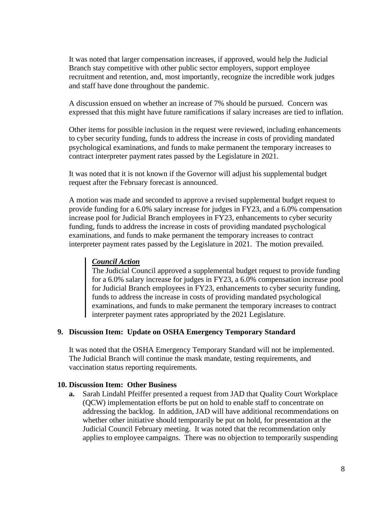It was noted that larger compensation increases, if approved, would help the Judicial Branch stay competitive with other public sector employers, support employee recruitment and retention, and, most importantly, recognize the incredible work judges and staff have done throughout the pandemic.

A discussion ensued on whether an increase of 7% should be pursued. Concern was expressed that this might have future ramifications if salary increases are tied to inflation.

Other items for possible inclusion in the request were reviewed, including enhancements to cyber security funding, funds to address the increase in costs of providing mandated psychological examinations, and funds to make permanent the temporary increases to contract interpreter payment rates passed by the Legislature in 2021.

It was noted that it is not known if the Governor will adjust his supplemental budget request after the February forecast is announced.

A motion was made and seconded to approve a revised supplemental budget request to provide funding for a 6.0% salary increase for judges in FY23, and a 6.0% compensation increase pool for Judicial Branch employees in FY23, enhancements to cyber security funding, funds to address the increase in costs of providing mandated psychological examinations, and funds to make permanent the temporary increases to contract interpreter payment rates passed by the Legislature in 2021. The motion prevailed.

## *Council Action*

The Judicial Council approved a supplemental budget request to provide funding for a 6.0% salary increase for judges in FY23, a 6.0% compensation increase pool for Judicial Branch employees in FY23, enhancements to cyber security funding, funds to address the increase in costs of providing mandated psychological examinations, and funds to make permanent the temporary increases to contract<br>examinations, and funds to make permanent the temporary increases to contract interpreter payment rates appropriated by the 2021 Legislature.

#### **9. Discussion Item: Update on OSHA Emergency Temporary Standard**

It was noted that the OSHA Emergency Temporary Standard will not be implemented. The Judicial Branch will continue the mask mandate, testing requirements, and vaccination status reporting requirements.

#### **10. Discussion Item: Other Business**

**a.** Sarah Lindahl Pfeiffer presented a request from JAD that Quality Court Workplace (QCW) implementation efforts be put on hold to enable staff to concentrate on addressing the backlog. In addition, JAD will have additional recommendations on whether other initiative should temporarily be put on hold, for presentation at the Judicial Council February meeting. It was noted that the recommendation only applies to employee campaigns. There was no objection to temporarily suspending